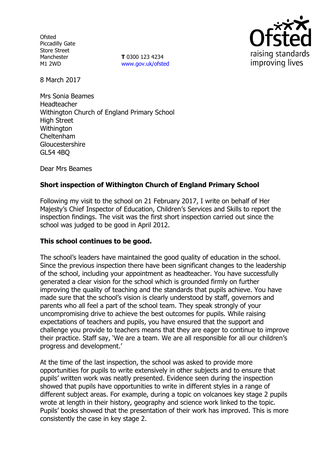**Ofsted** Piccadilly Gate Store Street Manchester M1 2WD

**T** 0300 123 4234 www.gov.uk/ofsted



8 March 2017

Mrs Sonia Beames Headteacher Withington Church of England Primary School High Street **Withington** Cheltenham Gloucestershire GL54 4BQ

Dear Mrs Beames

# **Short inspection of Withington Church of England Primary School**

Following my visit to the school on 21 February 2017, I write on behalf of Her Majesty's Chief Inspector of Education, Children's Services and Skills to report the inspection findings. The visit was the first short inspection carried out since the school was judged to be good in April 2012.

#### **This school continues to be good.**

The school's leaders have maintained the good quality of education in the school. Since the previous inspection there have been significant changes to the leadership of the school, including your appointment as headteacher. You have successfully generated a clear vision for the school which is grounded firmly on further improving the quality of teaching and the standards that pupils achieve. You have made sure that the school's vision is clearly understood by staff, governors and parents who all feel a part of the school team. They speak strongly of your uncompromising drive to achieve the best outcomes for pupils. While raising expectations of teachers and pupils, you have ensured that the support and challenge you provide to teachers means that they are eager to continue to improve their practice. Staff say, 'We are a team. We are all responsible for all our children's progress and development.'

At the time of the last inspection, the school was asked to provide more opportunities for pupils to write extensively in other subjects and to ensure that pupils' written work was neatly presented. Evidence seen during the inspection showed that pupils have opportunities to write in different styles in a range of different subject areas. For example, during a topic on volcanoes key stage 2 pupils wrote at length in their history, geography and science work linked to the topic. Pupils' books showed that the presentation of their work has improved. This is more consistently the case in key stage 2.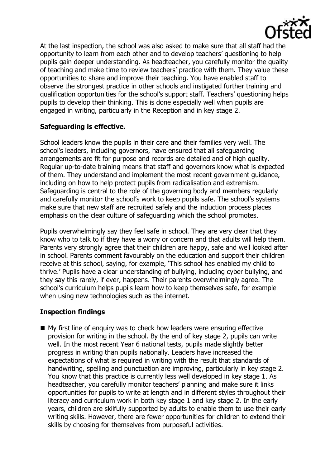

At the last inspection, the school was also asked to make sure that all staff had the opportunity to learn from each other and to develop teachers' questioning to help pupils gain deeper understanding. As headteacher, you carefully monitor the quality of teaching and make time to review teachers' practice with them. They value these opportunities to share and improve their teaching. You have enabled staff to observe the strongest practice in other schools and instigated further training and qualification opportunities for the school's support staff. Teachers' questioning helps pupils to develop their thinking. This is done especially well when pupils are engaged in writing, particularly in the Reception and in key stage 2.

## **Safeguarding is effective.**

School leaders know the pupils in their care and their families very well. The school's leaders, including governors, have ensured that all safeguarding arrangements are fit for purpose and records are detailed and of high quality. Regular up-to-date training means that staff and governors know what is expected of them. They understand and implement the most recent government guidance, including on how to help protect pupils from radicalisation and extremism. Safeguarding is central to the role of the governing body and members regularly and carefully monitor the school's work to keep pupils safe. The school's systems make sure that new staff are recruited safely and the induction process places emphasis on the clear culture of safeguarding which the school promotes.

Pupils overwhelmingly say they feel safe in school. They are very clear that they know who to talk to if they have a worry or concern and that adults will help them. Parents very strongly agree that their children are happy, safe and well looked after in school. Parents comment favourably on the education and support their children receive at this school, saying, for example, 'This school has enabled my child to thrive.' Pupils have a clear understanding of bullying, including cyber bullying, and they say this rarely, if ever, happens. Their parents overwhelmingly agree. The school's curriculum helps pupils learn how to keep themselves safe, for example when using new technologies such as the internet.

#### **Inspection findings**

■ My first line of enquiry was to check how leaders were ensuring effective provision for writing in the school. By the end of key stage 2, pupils can write well. In the most recent Year 6 national tests, pupils made slightly better progress in writing than pupils nationally. Leaders have increased the expectations of what is required in writing with the result that standards of handwriting, spelling and punctuation are improving, particularly in key stage 2. You know that this practice is currently less well developed in key stage 1. As headteacher, you carefully monitor teachers' planning and make sure it links opportunities for pupils to write at length and in different styles throughout their literacy and curriculum work in both key stage 1 and key stage 2. In the early years, children are skilfully supported by adults to enable them to use their early writing skills. However, there are fewer opportunities for children to extend their skills by choosing for themselves from purposeful activities.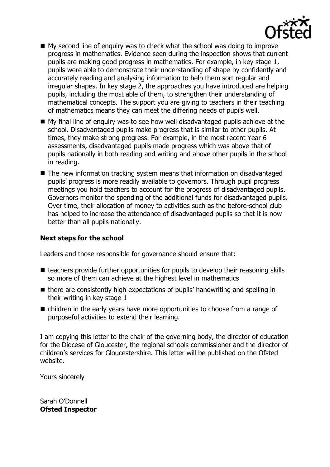

- $\blacksquare$  My second line of enquiry was to check what the school was doing to improve progress in mathematics. Evidence seen during the inspection shows that current pupils are making good progress in mathematics. For example, in key stage 1, pupils were able to demonstrate their understanding of shape by confidently and accurately reading and analysing information to help them sort regular and irregular shapes. In key stage 2, the approaches you have introduced are helping pupils, including the most able of them, to strengthen their understanding of mathematical concepts. The support you are giving to teachers in their teaching of mathematics means they can meet the differing needs of pupils well.
- My final line of enquiry was to see how well disadvantaged pupils achieve at the school. Disadvantaged pupils make progress that is similar to other pupils. At times, they make strong progress. For example, in the most recent Year 6 assessments, disadvantaged pupils made progress which was above that of pupils nationally in both reading and writing and above other pupils in the school in reading.
- The new information tracking system means that information on disadvantaged pupils' progress is more readily available to governors. Through pupil progress meetings you hold teachers to account for the progress of disadvantaged pupils. Governors monitor the spending of the additional funds for disadvantaged pupils. Over time, their allocation of money to activities such as the before-school club has helped to increase the attendance of disadvantaged pupils so that it is now better than all pupils nationally.

### **Next steps for the school**

Leaders and those responsible for governance should ensure that:

- $\blacksquare$  teachers provide further opportunities for pupils to develop their reasoning skills so more of them can achieve at the highest level in mathematics
- there are consistently high expectations of pupils' handwriting and spelling in their writing in key stage 1
- $\blacksquare$  children in the early years have more opportunities to choose from a range of purposeful activities to extend their learning.

I am copying this letter to the chair of the governing body, the director of education for the Diocese of Gloucester, the regional schools commissioner and the director of children's services for Gloucestershire. This letter will be published on the Ofsted website.

Yours sincerely

Sarah O'Donnell **Ofsted Inspector**